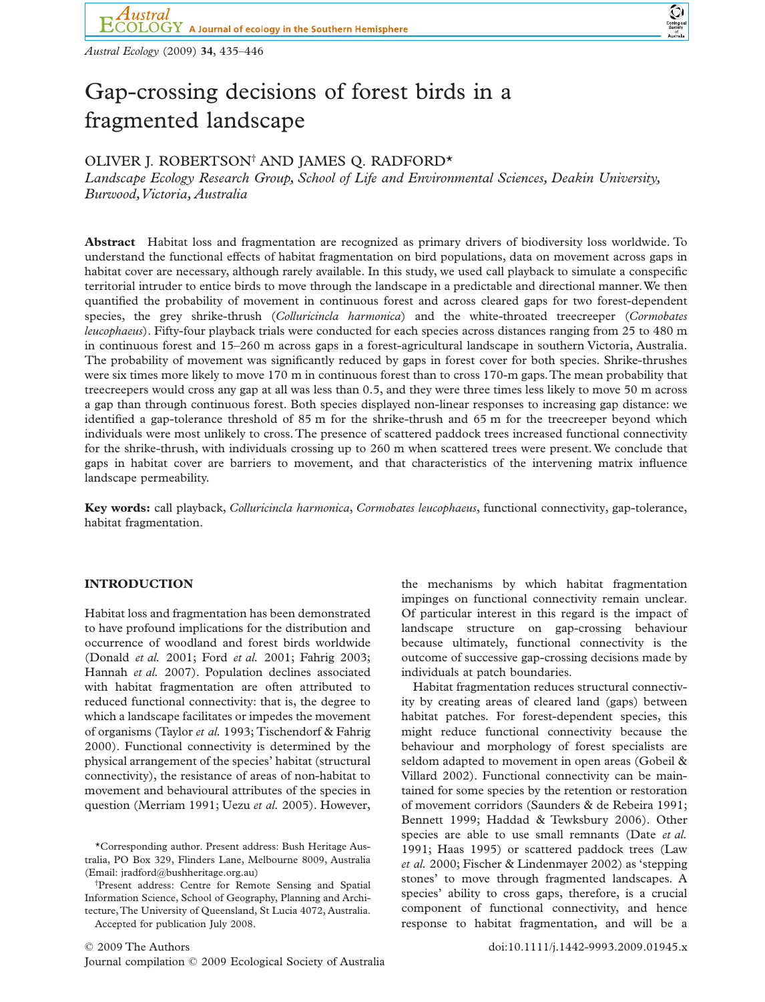*Austral Ecology* (2009) **34**, 435–446

# Gap-crossing decisions of forest birds in a fragmented landscape

# OLIVER J. ROBERTSON† AND JAMES Q. RADFORD\*

*Landscape Ecology Research Group, School of Life and Environmental Sciences, Deakin University, Burwood,Victoria, Australia*

**Abstract** Habitat loss and fragmentation are recognized as primary drivers of biodiversity loss worldwide. To understand the functional effects of habitat fragmentation on bird populations, data on movement across gaps in habitat cover are necessary, although rarely available. In this study, we used call playback to simulate a conspecific territorial intruder to entice birds to move through the landscape in a predictable and directional manner.We then quantified the probability of movement in continuous forest and across cleared gaps for two forest-dependent species, the grey shrike-thrush (*Colluricincla harmonica*) and the white-throated treecreeper (*Cormobates leucophaeus*). Fifty-four playback trials were conducted for each species across distances ranging from 25 to 480 m in continuous forest and 15–260 m across gaps in a forest-agricultural landscape in southern Victoria, Australia. The probability of movement was significantly reduced by gaps in forest cover for both species. Shrike-thrushes were six times more likely to move 170 m in continuous forest than to cross 170-m gaps.The mean probability that treecreepers would cross any gap at all was less than 0.5, and they were three times less likely to move 50 m across a gap than through continuous forest. Both species displayed non-linear responses to increasing gap distance: we identified a gap-tolerance threshold of 85 m for the shrike-thrush and 65 m for the treecreeper beyond which individuals were most unlikely to cross. The presence of scattered paddock trees increased functional connectivity for the shrike-thrush, with individuals crossing up to 260 m when scattered trees were present. We conclude that gaps in habitat cover are barriers to movement, and that characteristics of the intervening matrix influence landscape permeability.

**Key words:** call playback, *Colluricincla harmonica*, *Cormobates leucophaeus*, functional connectivity, gap-tolerance, habitat fragmentation.

# **INTRODUCTION**

Habitat loss and fragmentation has been demonstrated to have profound implications for the distribution and occurrence of woodland and forest birds worldwide (Donald *et al.* 2001; Ford *et al.* 2001; Fahrig 2003; Hannah *et al.* 2007). Population declines associated with habitat fragmentation are often attributed to reduced functional connectivity: that is, the degree to which a landscape facilitates or impedes the movement of organisms (Taylor *et al.* 1993; Tischendorf & Fahrig 2000). Functional connectivity is determined by the physical arrangement of the species' habitat (structural connectivity), the resistance of areas of non-habitat to movement and behavioural attributes of the species in question (Merriam 1991; Uezu *et al.* 2005). However,

\*Corresponding author. Present address: Bush Heritage Australia, PO Box 329, Flinders Lane, Melbourne 8009, Australia (Email: [jradford@bushheritage.org.au\)](mailto:jradford@bushheritage.org.au)

† Present address: Centre for Remote Sensing and Spatial Information Science, School of Geography, Planning and Architecture,The University of Queensland, St Lucia 4072, Australia. Accepted for publication July 2008.

© 2009 The Authors doi:10.1111/j.1442-9993.2009.01945.x Journal compilation © 2009 Ecological Society of Australia

the mechanisms by which habitat fragmentation impinges on functional connectivity remain unclear. Of particular interest in this regard is the impact of landscape structure on gap-crossing behaviour because ultimately, functional connectivity is the outcome of successive gap-crossing decisions made by individuals at patch boundaries.

 $\bigodot$ <br>Ecologica

Habitat fragmentation reduces structural connectivity by creating areas of cleared land (gaps) between habitat patches. For forest-dependent species, this might reduce functional connectivity because the behaviour and morphology of forest specialists are seldom adapted to movement in open areas (Gobeil & Villard 2002). Functional connectivity can be maintained for some species by the retention or restoration of movement corridors (Saunders & de Rebeira 1991; Bennett 1999; Haddad & Tewksbury 2006). Other species are able to use small remnants (Date *et al.* 1991; Haas 1995) or scattered paddock trees (Law *et al.* 2000; Fischer & Lindenmayer 2002) as 'stepping stones' to move through fragmented landscapes. A species' ability to cross gaps, therefore, is a crucial component of functional connectivity, and hence response to habitat fragmentation, and will be a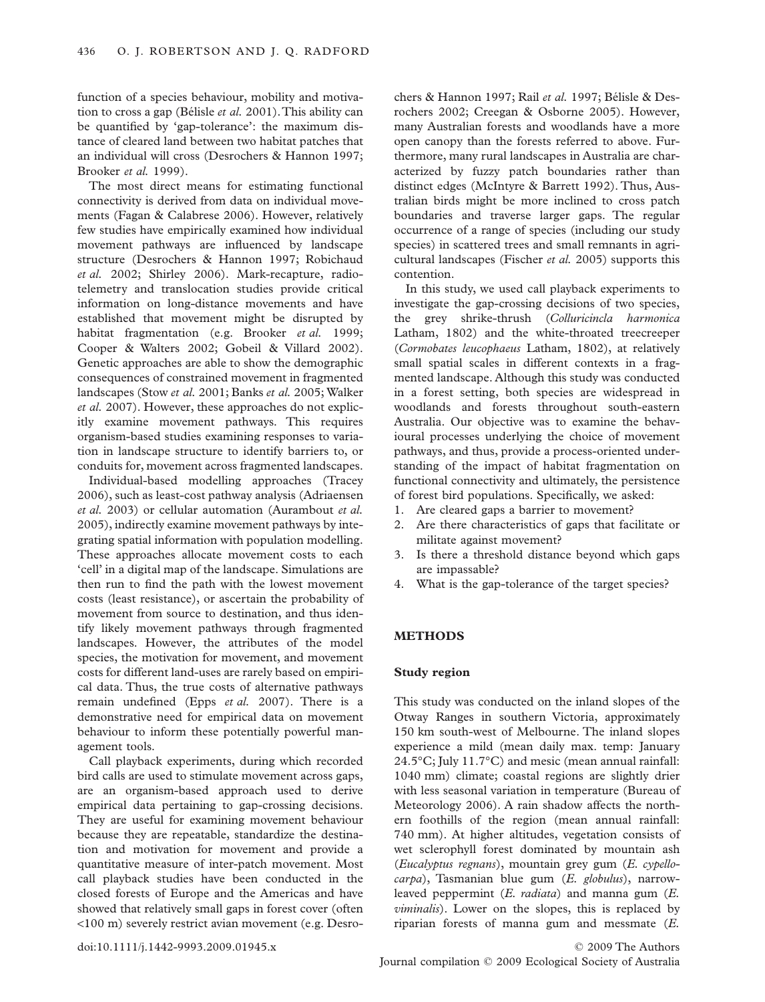function of a species behaviour, mobility and motivation to cross a gap (Bélisle *et al.* 2001).This ability can be quantified by 'gap-tolerance': the maximum distance of cleared land between two habitat patches that an individual will cross (Desrochers & Hannon 1997; Brooker *et al.* 1999).

The most direct means for estimating functional connectivity is derived from data on individual movements (Fagan & Calabrese 2006). However, relatively few studies have empirically examined how individual movement pathways are influenced by landscape structure (Desrochers & Hannon 1997; Robichaud *et al.* 2002; Shirley 2006). Mark-recapture, radiotelemetry and translocation studies provide critical information on long-distance movements and have established that movement might be disrupted by habitat fragmentation (e.g. Brooker *et al.* 1999; Cooper & Walters 2002; Gobeil & Villard 2002). Genetic approaches are able to show the demographic consequences of constrained movement in fragmented landscapes (Stow *et al.* 2001; Banks *et al.* 2005; Walker *et al.* 2007). However, these approaches do not explicitly examine movement pathways. This requires organism-based studies examining responses to variation in landscape structure to identify barriers to, or conduits for, movement across fragmented landscapes.

Individual-based modelling approaches (Tracey 2006), such as least-cost pathway analysis (Adriaensen *et al.* 2003) or cellular automation (Aurambout *et al.* 2005), indirectly examine movement pathways by integrating spatial information with population modelling. These approaches allocate movement costs to each 'cell' in a digital map of the landscape. Simulations are then run to find the path with the lowest movement costs (least resistance), or ascertain the probability of movement from source to destination, and thus identify likely movement pathways through fragmented landscapes. However, the attributes of the model species, the motivation for movement, and movement costs for different land-uses are rarely based on empirical data. Thus, the true costs of alternative pathways remain undefined (Epps *et al.* 2007). There is a demonstrative need for empirical data on movement behaviour to inform these potentially powerful management tools.

Call playback experiments, during which recorded bird calls are used to stimulate movement across gaps, are an organism-based approach used to derive empirical data pertaining to gap-crossing decisions. They are useful for examining movement behaviour because they are repeatable, standardize the destination and motivation for movement and provide a quantitative measure of inter-patch movement. Most call playback studies have been conducted in the closed forests of Europe and the Americas and have showed that relatively small gaps in forest cover (often <100 m) severely restrict avian movement (e.g. Desro-

chers & Hannon 1997; Rail *et al.* 1997; Bélisle & Desrochers 2002; Creegan & Osborne 2005). However, many Australian forests and woodlands have a more open canopy than the forests referred to above. Furthermore, many rural landscapes in Australia are characterized by fuzzy patch boundaries rather than distinct edges (McIntyre & Barrett 1992). Thus, Australian birds might be more inclined to cross patch boundaries and traverse larger gaps. The regular occurrence of a range of species (including our study species) in scattered trees and small remnants in agricultural landscapes (Fischer *et al.* 2005) supports this contention.

In this study, we used call playback experiments to investigate the gap-crossing decisions of two species, the grey shrike-thrush (*Colluricincla harmonica* Latham, 1802) and the white-throated treecreeper (*Cormobates leucophaeus* Latham, 1802), at relatively small spatial scales in different contexts in a fragmented landscape. Although this study was conducted in a forest setting, both species are widespread in woodlands and forests throughout south-eastern Australia. Our objective was to examine the behavioural processes underlying the choice of movement pathways, and thus, provide a process-oriented understanding of the impact of habitat fragmentation on functional connectivity and ultimately, the persistence of forest bird populations. Specifically, we asked:

- 1. Are cleared gaps a barrier to movement?
- 2. Are there characteristics of gaps that facilitate or militate against movement?
- 3. Is there a threshold distance beyond which gaps are impassable?
- 4. What is the gap-tolerance of the target species?

## **METHODS**

#### **Study region**

This study was conducted on the inland slopes of the Otway Ranges in southern Victoria, approximately 150 km south-west of Melbourne. The inland slopes experience a mild (mean daily max. temp: January 24.5°C; July 11.7°C) and mesic (mean annual rainfall: 1040 mm) climate; coastal regions are slightly drier with less seasonal variation in temperature (Bureau of Meteorology 2006). A rain shadow affects the northern foothills of the region (mean annual rainfall: 740 mm). At higher altitudes, vegetation consists of wet sclerophyll forest dominated by mountain ash (*Eucalyptus regnans*), mountain grey gum (*E. cypellocarpa*), Tasmanian blue gum (*E. globulus*), narrowleaved peppermint (*E. radiata*) and manna gum (*E. viminalis*). Lower on the slopes, this is replaced by riparian forests of manna gum and messmate (*E.*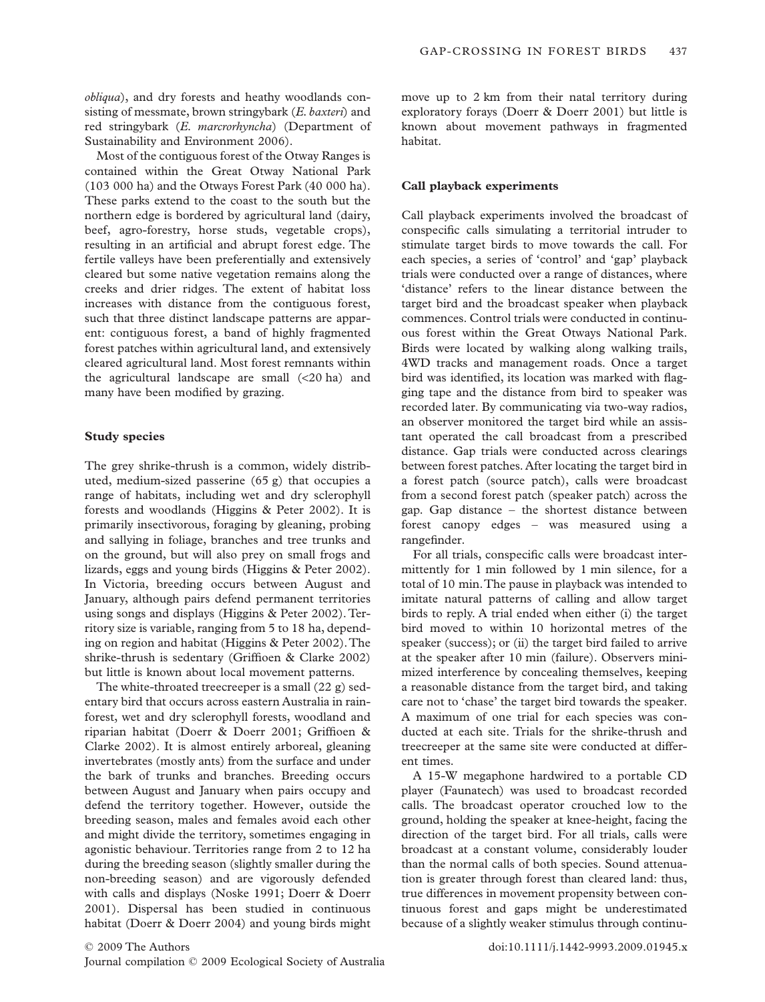*obliqua*), and dry forests and heathy woodlands consisting of messmate, brown stringybark (*E. baxteri*) and red stringybark (*E. marcrorhyncha*) (Department of Sustainability and Environment 2006).

Most of the contiguous forest of the Otway Ranges is contained within the Great Otway National Park (103 000 ha) and the Otways Forest Park (40 000 ha). These parks extend to the coast to the south but the northern edge is bordered by agricultural land (dairy, beef, agro-forestry, horse studs, vegetable crops), resulting in an artificial and abrupt forest edge. The fertile valleys have been preferentially and extensively cleared but some native vegetation remains along the creeks and drier ridges. The extent of habitat loss increases with distance from the contiguous forest, such that three distinct landscape patterns are apparent: contiguous forest, a band of highly fragmented forest patches within agricultural land, and extensively cleared agricultural land. Most forest remnants within the agricultural landscape are small  $( $20 \text{ ha}$ )$  and many have been modified by grazing.

#### **Study species**

The grey shrike-thrush is a common, widely distributed, medium-sized passerine (65 g) that occupies a range of habitats, including wet and dry sclerophyll forests and woodlands (Higgins & Peter 2002). It is primarily insectivorous, foraging by gleaning, probing and sallying in foliage, branches and tree trunks and on the ground, but will also prey on small frogs and lizards, eggs and young birds (Higgins & Peter 2002). In Victoria, breeding occurs between August and January, although pairs defend permanent territories using songs and displays (Higgins & Peter 2002). Territory size is variable, ranging from 5 to 18 ha, depending on region and habitat (Higgins & Peter 2002).The shrike-thrush is sedentary (Griffioen & Clarke 2002) but little is known about local movement patterns.

The white-throated treecreeper is a small (22 g) sedentary bird that occurs across eastern Australia in rainforest, wet and dry sclerophyll forests, woodland and riparian habitat (Doerr & Doerr 2001; Griffioen & Clarke 2002). It is almost entirely arboreal, gleaning invertebrates (mostly ants) from the surface and under the bark of trunks and branches. Breeding occurs between August and January when pairs occupy and defend the territory together. However, outside the breeding season, males and females avoid each other and might divide the territory, sometimes engaging in agonistic behaviour. Territories range from 2 to 12 ha during the breeding season (slightly smaller during the non-breeding season) and are vigorously defended with calls and displays (Noske 1991; Doerr & Doerr 2001). Dispersal has been studied in continuous habitat (Doerr & Doerr 2004) and young birds might move up to 2 km from their natal territory during exploratory forays (Doerr & Doerr 2001) but little is known about movement pathways in fragmented habitat.

# **Call playback experiments**

Call playback experiments involved the broadcast of conspecific calls simulating a territorial intruder to stimulate target birds to move towards the call. For each species, a series of 'control' and 'gap' playback trials were conducted over a range of distances, where 'distance' refers to the linear distance between the target bird and the broadcast speaker when playback commences. Control trials were conducted in continuous forest within the Great Otways National Park. Birds were located by walking along walking trails, 4WD tracks and management roads. Once a target bird was identified, its location was marked with flagging tape and the distance from bird to speaker was recorded later. By communicating via two-way radios, an observer monitored the target bird while an assistant operated the call broadcast from a prescribed distance. Gap trials were conducted across clearings between forest patches. After locating the target bird in a forest patch (source patch), calls were broadcast from a second forest patch (speaker patch) across the gap. Gap distance – the shortest distance between forest canopy edges – was measured using a rangefinder.

For all trials, conspecific calls were broadcast intermittently for 1 min followed by 1 min silence, for a total of 10 min.The pause in playback was intended to imitate natural patterns of calling and allow target birds to reply. A trial ended when either (i) the target bird moved to within 10 horizontal metres of the speaker (success); or (ii) the target bird failed to arrive at the speaker after 10 min (failure). Observers minimized interference by concealing themselves, keeping a reasonable distance from the target bird, and taking care not to 'chase' the target bird towards the speaker. A maximum of one trial for each species was conducted at each site. Trials for the shrike-thrush and treecreeper at the same site were conducted at different times.

A 15-W megaphone hardwired to a portable CD player (Faunatech) was used to broadcast recorded calls. The broadcast operator crouched low to the ground, holding the speaker at knee-height, facing the direction of the target bird. For all trials, calls were broadcast at a constant volume, considerably louder than the normal calls of both species. Sound attenuation is greater through forest than cleared land: thus, true differences in movement propensity between continuous forest and gaps might be underestimated because of a slightly weaker stimulus through continu-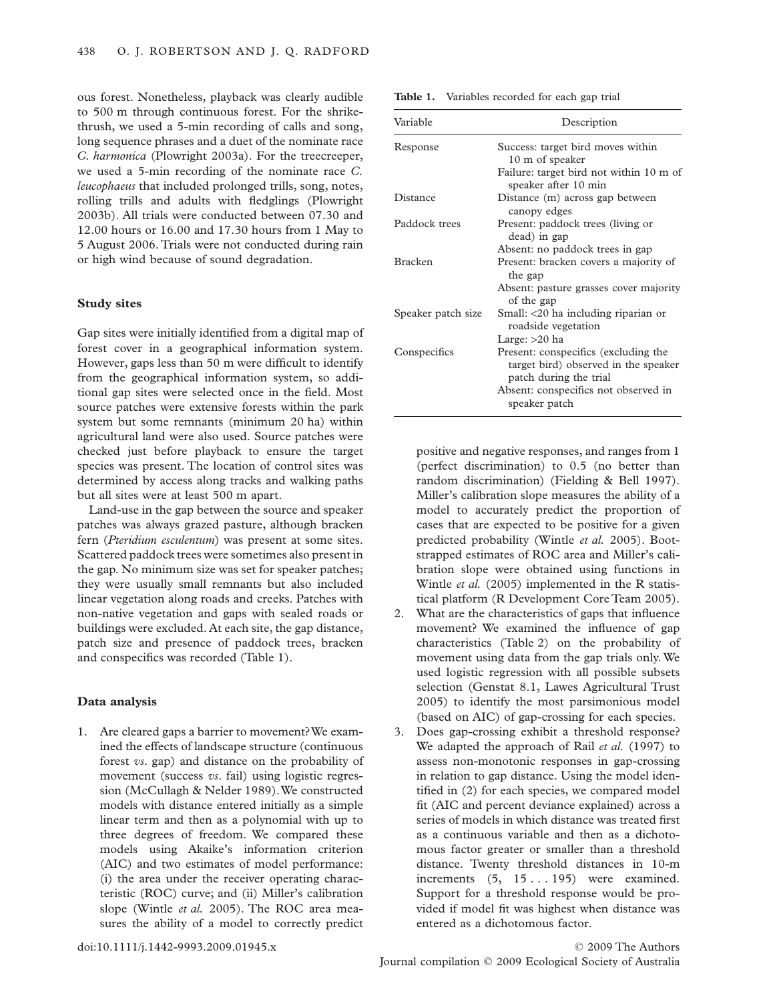ous forest. Nonetheless, playback was clearly audible to 500 m through continuous forest. For the shrikethrush, we used a 5-min recording of calls and song, long sequence phrases and a duet of the nominate race *C. harmonica* (Plowright 2003a). For the treecreeper, we used a 5-min recording of the nominate race *C. leucophaeus* that included prolonged trills, song, notes, rolling trills and adults with fledglings (Plowright 2003b). All trials were conducted between 07.30 and 12.00 hours or 16.00 and 17.30 hours from 1 May to 5 August 2006. Trials were not conducted during rain or high wind because of sound degradation.

## **Study sites**

Gap sites were initially identified from a digital map of forest cover in a geographical information system. However, gaps less than 50 m were difficult to identify from the geographical information system, so additional gap sites were selected once in the field. Most source patches were extensive forests within the park system but some remnants (minimum 20 ha) within agricultural land were also used. Source patches were checked just before playback to ensure the target species was present. The location of control sites was determined by access along tracks and walking paths but all sites were at least 500 m apart.

Land-use in the gap between the source and speaker patches was always grazed pasture, although bracken fern (*Pteridium esculentum*) was present at some sites. Scattered paddock trees were sometimes also present in the gap. No minimum size was set for speaker patches; they were usually small remnants but also included linear vegetation along roads and creeks. Patches with non-native vegetation and gaps with sealed roads or buildings were excluded. At each site, the gap distance, patch size and presence of paddock trees, bracken and conspecifics was recorded (Table 1).

# **Data analysis**

1. Are cleared gaps a barrier to movement?We examined the effects of landscape structure (continuous forest *vs*. gap) and distance on the probability of movement (success *vs*. fail) using logistic regression (McCullagh & Nelder 1989).We constructed models with distance entered initially as a simple linear term and then as a polynomial with up to three degrees of freedom. We compared these models using Akaike's information criterion (AIC) and two estimates of model performance: (i) the area under the receiver operating characteristic (ROC) curve; and (ii) Miller's calibration slope (Wintle *et al.* 2005). The ROC area measures the ability of a model to correctly predict **Table 1.** Variables recorded for each gap trial

| Variable           | Description                                                                                            |  |  |  |
|--------------------|--------------------------------------------------------------------------------------------------------|--|--|--|
| Response           | Success: target bird moves within<br>10 m of speaker                                                   |  |  |  |
|                    | Failure: target bird not within 10 m of<br>speaker after 10 min                                        |  |  |  |
| Distance           | Distance (m) across gap between<br>canopy edges                                                        |  |  |  |
| Paddock trees      | Present: paddock trees (living or<br>dead) in gap                                                      |  |  |  |
|                    | Absent: no paddock trees in gap                                                                        |  |  |  |
| <b>Bracken</b>     | Present: bracken covers a majority of<br>the gap                                                       |  |  |  |
|                    | Absent: pasture grasses cover majority<br>of the gap                                                   |  |  |  |
| Speaker patch size | Small: <20 ha including riparian or<br>roadside vegetation                                             |  |  |  |
|                    | Large: $>20$ ha                                                                                        |  |  |  |
| Conspecifics       | Present: conspecifics (excluding the<br>target bird) observed in the speaker<br>patch during the trial |  |  |  |
|                    | Absent: conspecifics not observed in<br>speaker patch                                                  |  |  |  |

positive and negative responses, and ranges from 1 (perfect discrimination) to 0.5 (no better than random discrimination) (Fielding & Bell 1997). Miller's calibration slope measures the ability of a model to accurately predict the proportion of cases that are expected to be positive for a given predicted probability (Wintle *et al.* 2005). Bootstrapped estimates of ROC area and Miller's calibration slope were obtained using functions in Wintle *et al.* (2005) implemented in the R statistical platform (R Development Core Team 2005).

- 2. What are the characteristics of gaps that influence movement? We examined the influence of gap characteristics (Table 2) on the probability of movement using data from the gap trials only. We used logistic regression with all possible subsets selection (Genstat 8.1, Lawes Agricultural Trust 2005) to identify the most parsimonious model (based on AIC) of gap-crossing for each species.
- 3. Does gap-crossing exhibit a threshold response? We adapted the approach of Rail *et al.* (1997) to assess non-monotonic responses in gap-crossing in relation to gap distance. Using the model identified in (2) for each species, we compared model fit (AIC and percent deviance explained) across a series of models in which distance was treated first as a continuous variable and then as a dichotomous factor greater or smaller than a threshold distance. Twenty threshold distances in 10-m increments (5, 15... 195) were examined. Support for a threshold response would be provided if model fit was highest when distance was entered as a dichotomous factor.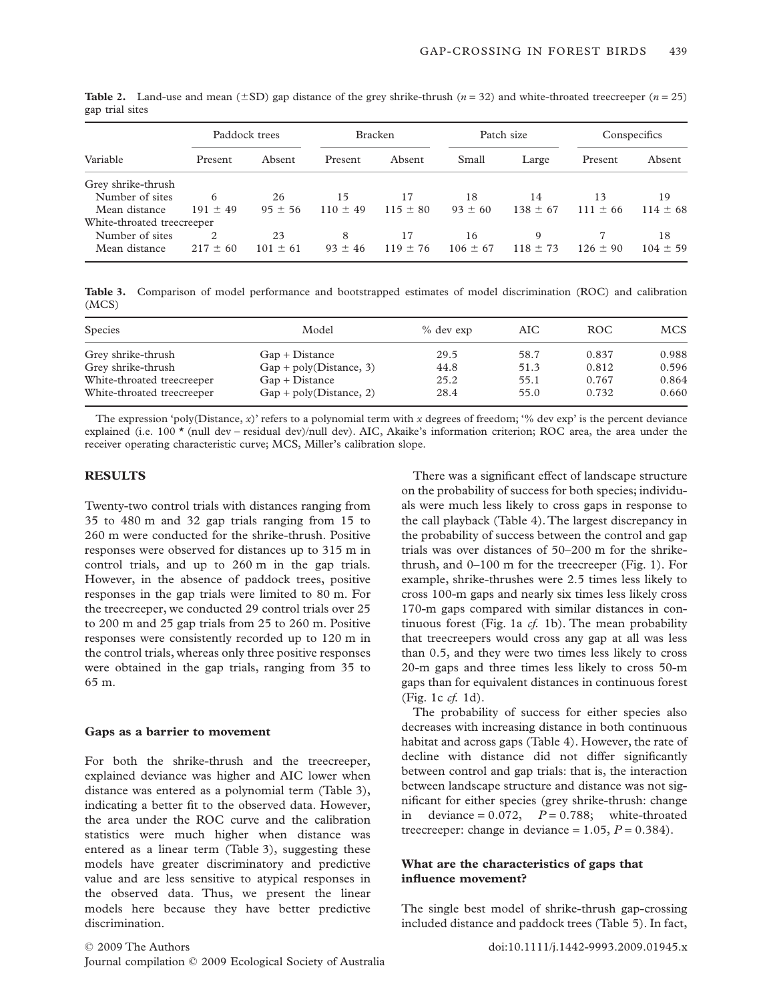| Variable                   | Paddock trees |              | <b>Bracken</b> |              | Patch size   |              | Conspecifics |              |
|----------------------------|---------------|--------------|----------------|--------------|--------------|--------------|--------------|--------------|
|                            | Present       | Absent       | Present        | Absent       | Small        | Large        | Present      | Absent       |
| Grey shrike-thrush         |               |              |                |              |              |              |              |              |
| Number of sites            | 6             | 26           | 15             | 17           | 18           | 14           | 13           | 19           |
| Mean distance              | $191 \pm 49$  | $95 \pm 56$  | $110 \pm 49$   | $115 \pm 80$ | $93 \pm 60$  | $138 \pm 67$ | $111 \pm 66$ | $114 \pm 68$ |
| White-throated treecreeper |               |              |                |              |              |              |              |              |
| Number of sites            | 2             | 23           | 8              | 17           | 16           | 9            |              | 18           |
| Mean distance              | $217 \pm 60$  | $101 \pm 61$ | $93 \pm 46$    | $119 \pm 76$ | $106 \pm 67$ | $118 \pm 73$ | $126 \pm 90$ | $104 \pm 59$ |

**Table 2.** Land-use and mean  $(\pm SD)$  gap distance of the grey shrike-thrush  $(n = 32)$  and white-throated treecreeper  $(n = 25)$ gap trial sites

**Table 3.** Comparison of model performance and bootstrapped estimates of model discrimination (ROC) and calibration (MCS)

| <b>Species</b>             | Model                     | $%$ dev exp | AIC. | ROC.  | <b>MCS</b> |
|----------------------------|---------------------------|-------------|------|-------|------------|
| Grey shrike-thrush         | $Gap + Distance$          | 29.5        | 58.7 | 0.837 | 0.988      |
| Grey shrike-thrush         | $Gap + poly(Distance, 3)$ | 44.8        | 51.3 | 0.812 | 0.596      |
| White-throated treecreeper | $Gap + Distance$          | 25.2        | 55.1 | 0.767 | 0.864      |
| White-throated treecreeper | $Gap + poly(Distance, 2)$ | 28.4        | 55.0 | 0.732 | 0.660      |

The expression 'poly(Distance,  $x$ )' refers to a polynomial term with  $x$  degrees of freedom; '% dev exp' is the percent deviance explained (i.e. 100 \* (null dev - residual dev)/null dev). AIC, Akaike's information criterion; ROC area, the area under the receiver operating characteristic curve; MCS, Miller's calibration slope.

# **RESULTS**

Twenty-two control trials with distances ranging from 35 to 480 m and 32 gap trials ranging from 15 to 260 m were conducted for the shrike-thrush. Positive responses were observed for distances up to 315 m in control trials, and up to 260 m in the gap trials. However, in the absence of paddock trees, positive responses in the gap trials were limited to 80 m. For the treecreeper, we conducted 29 control trials over 25 to 200 m and 25 gap trials from 25 to 260 m. Positive responses were consistently recorded up to 120 m in the control trials, whereas only three positive responses were obtained in the gap trials, ranging from 35 to 65 m.

#### **Gaps as a barrier to movement**

For both the shrike-thrush and the treecreeper, explained deviance was higher and AIC lower when distance was entered as a polynomial term (Table 3), indicating a better fit to the observed data. However, the area under the ROC curve and the calibration statistics were much higher when distance was entered as a linear term (Table 3), suggesting these models have greater discriminatory and predictive value and are less sensitive to atypical responses in the observed data. Thus, we present the linear models here because they have better predictive discrimination.

There was a significant effect of landscape structure on the probability of success for both species; individuals were much less likely to cross gaps in response to the call playback (Table 4).The largest discrepancy in the probability of success between the control and gap trials was over distances of 50–200 m for the shrikethrush, and 0–100 m for the treecreeper (Fig. 1). For example, shrike-thrushes were 2.5 times less likely to cross 100-m gaps and nearly six times less likely cross 170-m gaps compared with similar distances in continuous forest (Fig. 1a *cf.* 1b). The mean probability that treecreepers would cross any gap at all was less than 0.5, and they were two times less likely to cross 20-m gaps and three times less likely to cross 50-m gaps than for equivalent distances in continuous forest (Fig. 1c *cf.* 1d).

The probability of success for either species also decreases with increasing distance in both continuous habitat and across gaps (Table 4). However, the rate of decline with distance did not differ significantly between control and gap trials: that is, the interaction between landscape structure and distance was not significant for either species (grey shrike-thrush: change deviance  $= 0.072$ ,  $P = 0.788$ ; white-throated treecreeper: change in deviance =  $1.05$ ,  $P = 0.384$ ).

# **What are the characteristics of gaps that influence movement?**

The single best model of shrike-thrush gap-crossing included distance and paddock trees (Table 5). In fact,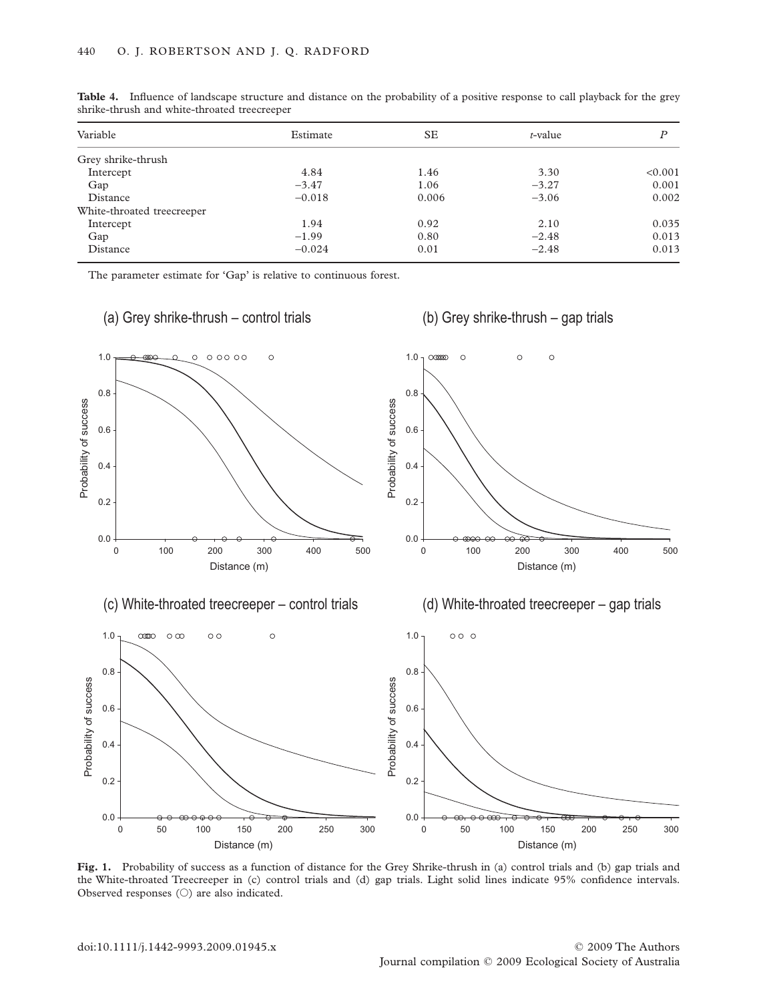| Variable                   | Estimate | SE    | $t$ -value | Ρ       |
|----------------------------|----------|-------|------------|---------|
| Grey shrike-thrush         |          |       |            |         |
| Intercept                  | 4.84     | 1.46  | 3.30       | < 0.001 |
| Gap                        | $-3.47$  | 1.06  | $-3.27$    | 0.001   |
| Distance                   | $-0.018$ | 0.006 | $-3.06$    | 0.002   |
| White-throated treecreeper |          |       |            |         |
| Intercept                  | 1.94     | 0.92  | 2.10       | 0.035   |
| Gap                        | $-1.99$  | 0.80  | $-2.48$    | 0.013   |
| Distance                   | $-0.024$ | 0.01  | $-2.48$    | 0.013   |

**Table 4.** Influence of landscape structure and distance on the probability of a positive response to call playback for the grey shrike-thrush and white-throated treecreeper

The parameter estimate for 'Gap' is relative to continuous forest.



**Fig. 1.** Probability of success as a function of distance for the Grey Shrike-thrush in (a) control trials and (b) gap trials and the White-throated Treecreeper in (c) control trials and (d) gap trials. Light solid lines indicate 95% confidence intervals. Observed responses  $(\bigcirc)$  are also indicated.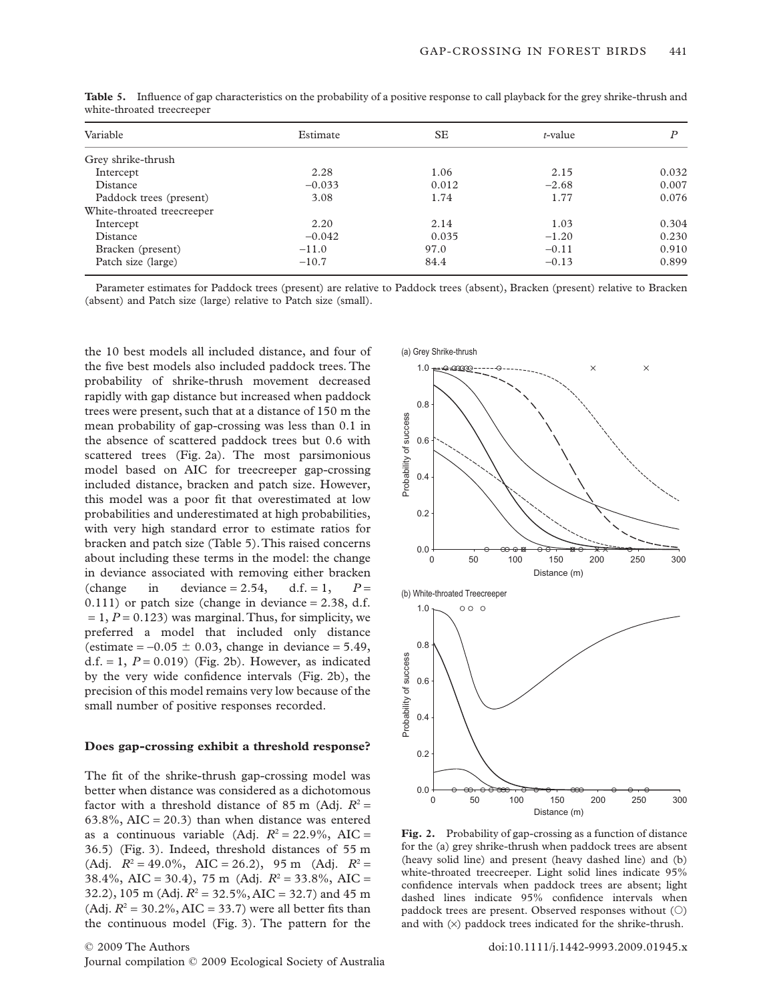| Variable                   | Estimate | <b>SE</b> | t-value |       |
|----------------------------|----------|-----------|---------|-------|
| Grey shrike-thrush         |          |           |         |       |
| Intercept                  | 2.28     | 1.06      | 2.15    | 0.032 |
| Distance                   | $-0.033$ | 0.012     | $-2.68$ | 0.007 |
| Paddock trees (present)    | 3.08     | 1.74      | 1.77    | 0.076 |
| White-throated treecreeper |          |           |         |       |
| Intercept                  | 2.20     | 2.14      | 1.03    | 0.304 |
| Distance                   | $-0.042$ | 0.035     | $-1.20$ | 0.230 |
| Bracken (present)          | $-11.0$  | 97.0      | $-0.11$ | 0.910 |
| Patch size (large)         | $-10.7$  | 84.4      | $-0.13$ | 0.899 |

**Table 5.** Influence of gap characteristics on the probability of a positive response to call playback for the grey shrike-thrush and white-throated treecreeper

Parameter estimates for Paddock trees (present) are relative to Paddock trees (absent), Bracken (present) relative to Bracken (absent) and Patch size (large) relative to Patch size (small).

the 10 best models all included distance, and four of the five best models also included paddock trees. The probability of shrike-thrush movement decreased rapidly with gap distance but increased when paddock trees were present, such that at a distance of 150 m the mean probability of gap-crossing was less than 0.1 in the absence of scattered paddock trees but 0.6 with scattered trees (Fig. 2a). The most parsimonious model based on AIC for treecreeper gap-crossing included distance, bracken and patch size. However, this model was a poor fit that overestimated at low probabilities and underestimated at high probabilities, with very high standard error to estimate ratios for bracken and patch size (Table 5).This raised concerns about including these terms in the model: the change in deviance associated with removing either bracken (change in deviance = 2.54, d.f. = 1,  $P =$  $0.111$ ) or patch size (change in deviance = 2.38, d.f.  $= 1, P = 0.123$  was marginal. Thus, for simplicity, we preferred a model that included only distance (estimate  $= -0.05 \pm 0.03$ , change in deviance  $= 5.49$ , d.f.  $= 1$ ,  $P = 0.019$ ) (Fig. 2b). However, as indicated by the very wide confidence intervals (Fig. 2b), the precision of this model remains very low because of the small number of positive responses recorded.

#### **Does gap-crossing exhibit a threshold response?**

The fit of the shrike-thrush gap-crossing model was better when distance was considered as a dichotomous factor with a threshold distance of 85 m (Adj.  $R^2$  =  $63.8\%$ , AIC = 20.3) than when distance was entered as a continuous variable (Adj.  $R^2 = 22.9\%$ , AIC = 36.5) (Fig. 3). Indeed, threshold distances of 55 m (Adj.  $R^2 = 49.0\%$ , AIC = 26.2), 95 m (Adj.  $R^2 =$ 38.4%, AIC = 30.4), 75 m (Adj.  $R^2 = 33.8\%$ , AIC = 32.2), 105 m (Adj.  $R^2 = 32.5\%$ , AIC = 32.7) and 45 m (Adj.  $R^2 = 30.2\%$ , AIC = 33.7) were all better fits than the continuous model (Fig. 3). The pattern for the



**Fig. 2.** Probability of gap-crossing as a function of distance for the (a) grey shrike-thrush when paddock trees are absent (heavy solid line) and present (heavy dashed line) and (b) white-throated treecreeper. Light solid lines indicate 95% confidence intervals when paddock trees are absent; light dashed lines indicate 95% confidence intervals when paddock trees are present. Observed responses without  $(\bigcirc)$ and with  $(x)$  paddock trees indicated for the shrike-thrush.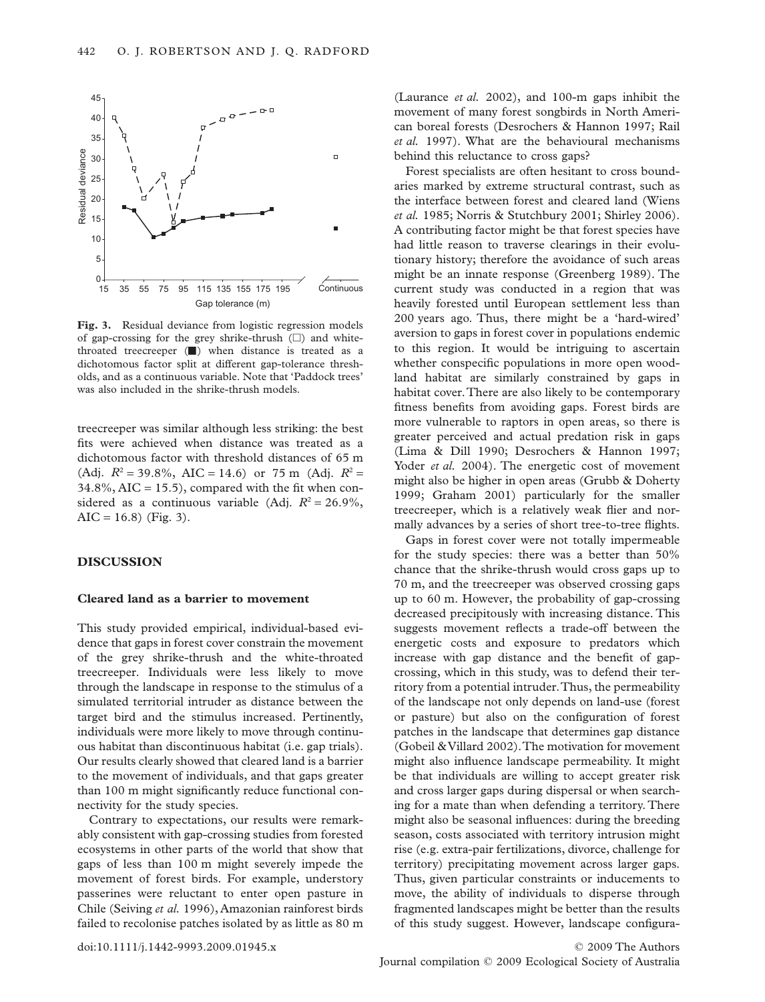

**Fig. 3.** Residual deviance from logistic regression models of gap-crossing for the grey shrike-thrush  $(\Box)$  and whitethroated treecreeper  $(\blacksquare)$  when distance is treated as a dichotomous factor split at different gap-tolerance thresholds, and as a continuous variable. Note that 'Paddock trees' was also included in the shrike-thrush models.

treecreeper was similar although less striking: the best fits were achieved when distance was treated as a dichotomous factor with threshold distances of 65 m (Adj.  $R^2 = 39.8\%$ , AIC = 14.6) or 75 m (Adj.  $R^2 =$  $34.8\%$ , AIC = 15.5), compared with the fit when considered as a continuous variable (Adj.  $R^2 = 26.9\%$ ,  $AIC = 16.8$  (Fig. 3).

## **DISCUSSION**

#### **Cleared land as a barrier to movement**

This study provided empirical, individual-based evidence that gaps in forest cover constrain the movement of the grey shrike-thrush and the white-throated treecreeper. Individuals were less likely to move through the landscape in response to the stimulus of a simulated territorial intruder as distance between the target bird and the stimulus increased. Pertinently, individuals were more likely to move through continuous habitat than discontinuous habitat (i.e. gap trials). Our results clearly showed that cleared land is a barrier to the movement of individuals, and that gaps greater than 100 m might significantly reduce functional connectivity for the study species.

Contrary to expectations, our results were remarkably consistent with gap-crossing studies from forested ecosystems in other parts of the world that show that gaps of less than 100 m might severely impede the movement of forest birds. For example, understory passerines were reluctant to enter open pasture in Chile (Seiving *et al.* 1996), Amazonian rainforest birds failed to recolonise patches isolated by as little as 80 m

(Laurance *et al.* 2002), and 100-m gaps inhibit the movement of many forest songbirds in North American boreal forests (Desrochers & Hannon 1997; Rail *et al.* 1997). What are the behavioural mechanisms behind this reluctance to cross gaps?

Forest specialists are often hesitant to cross boundaries marked by extreme structural contrast, such as the interface between forest and cleared land (Wiens *et al.* 1985; Norris & Stutchbury 2001; Shirley 2006). A contributing factor might be that forest species have had little reason to traverse clearings in their evolutionary history; therefore the avoidance of such areas might be an innate response (Greenberg 1989). The current study was conducted in a region that was heavily forested until European settlement less than 200 years ago. Thus, there might be a 'hard-wired' aversion to gaps in forest cover in populations endemic to this region. It would be intriguing to ascertain whether conspecific populations in more open woodland habitat are similarly constrained by gaps in habitat cover.There are also likely to be contemporary fitness benefits from avoiding gaps. Forest birds are more vulnerable to raptors in open areas, so there is greater perceived and actual predation risk in gaps (Lima & Dill 1990; Desrochers & Hannon 1997; Yoder *et al.* 2004). The energetic cost of movement might also be higher in open areas (Grubb & Doherty 1999; Graham 2001) particularly for the smaller treecreeper, which is a relatively weak flier and normally advances by a series of short tree-to-tree flights.

Gaps in forest cover were not totally impermeable for the study species: there was a better than 50% chance that the shrike-thrush would cross gaps up to 70 m, and the treecreeper was observed crossing gaps up to 60 m. However, the probability of gap-crossing decreased precipitously with increasing distance. This suggests movement reflects a trade-off between the energetic costs and exposure to predators which increase with gap distance and the benefit of gapcrossing, which in this study, was to defend their territory from a potential intruder.Thus, the permeability of the landscape not only depends on land-use (forest or pasture) but also on the configuration of forest patches in the landscape that determines gap distance (Gobeil &Villard 2002).The motivation for movement might also influence landscape permeability. It might be that individuals are willing to accept greater risk and cross larger gaps during dispersal or when searching for a mate than when defending a territory. There might also be seasonal influences: during the breeding season, costs associated with territory intrusion might rise (e.g. extra-pair fertilizations, divorce, challenge for territory) precipitating movement across larger gaps. Thus, given particular constraints or inducements to move, the ability of individuals to disperse through fragmented landscapes might be better than the results of this study suggest. However, landscape configura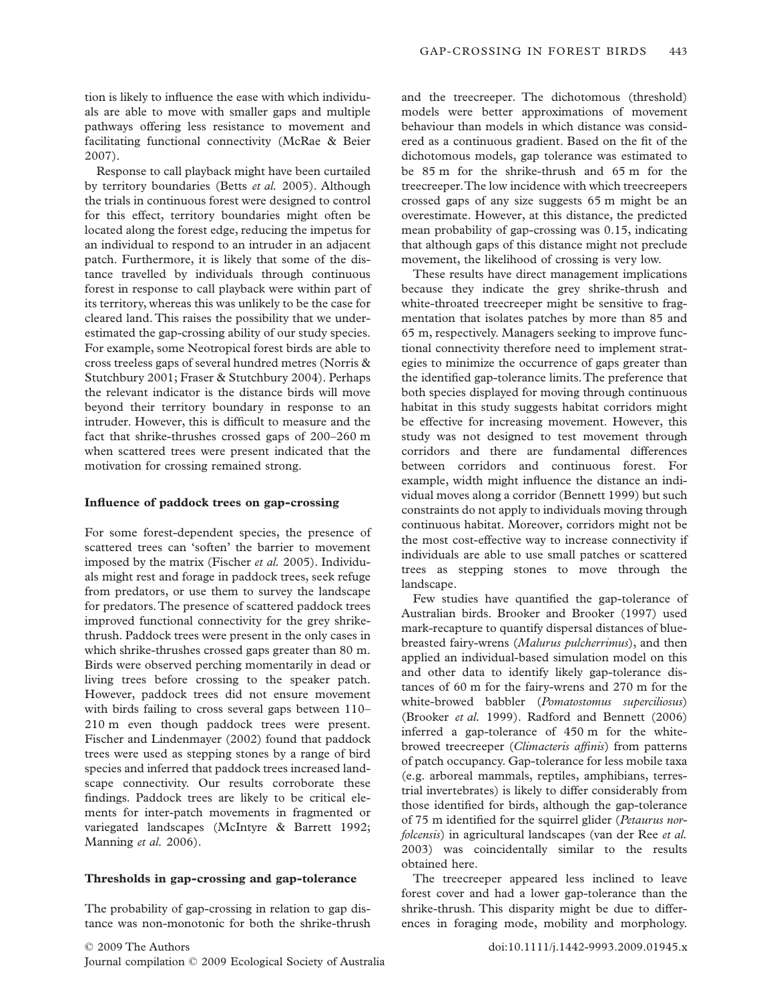tion is likely to influence the ease with which individuals are able to move with smaller gaps and multiple pathways offering less resistance to movement and facilitating functional connectivity (McRae & Beier 2007).

Response to call playback might have been curtailed by territory boundaries (Betts *et al.* 2005). Although the trials in continuous forest were designed to control for this effect, territory boundaries might often be located along the forest edge, reducing the impetus for an individual to respond to an intruder in an adjacent patch. Furthermore, it is likely that some of the distance travelled by individuals through continuous forest in response to call playback were within part of its territory, whereas this was unlikely to be the case for cleared land. This raises the possibility that we underestimated the gap-crossing ability of our study species. For example, some Neotropical forest birds are able to cross treeless gaps of several hundred metres (Norris & Stutchbury 2001; Fraser & Stutchbury 2004). Perhaps the relevant indicator is the distance birds will move beyond their territory boundary in response to an intruder. However, this is difficult to measure and the fact that shrike-thrushes crossed gaps of 200–260 m when scattered trees were present indicated that the motivation for crossing remained strong.

#### **Influence of paddock trees on gap-crossing**

For some forest-dependent species, the presence of scattered trees can 'soften' the barrier to movement imposed by the matrix (Fischer *et al.* 2005). Individuals might rest and forage in paddock trees, seek refuge from predators, or use them to survey the landscape for predators.The presence of scattered paddock trees improved functional connectivity for the grey shrikethrush. Paddock trees were present in the only cases in which shrike-thrushes crossed gaps greater than 80 m. Birds were observed perching momentarily in dead or living trees before crossing to the speaker patch. However, paddock trees did not ensure movement with birds failing to cross several gaps between 110– 210 m even though paddock trees were present. Fischer and Lindenmayer (2002) found that paddock trees were used as stepping stones by a range of bird species and inferred that paddock trees increased landscape connectivity. Our results corroborate these findings. Paddock trees are likely to be critical elements for inter-patch movements in fragmented or variegated landscapes (McIntyre & Barrett 1992; Manning *et al.* 2006).

#### **Thresholds in gap-crossing and gap-tolerance**

The probability of gap-crossing in relation to gap distance was non-monotonic for both the shrike-thrush

and the treecreeper. The dichotomous (threshold) models were better approximations of movement behaviour than models in which distance was considered as a continuous gradient. Based on the fit of the dichotomous models, gap tolerance was estimated to be 85 m for the shrike-thrush and 65 m for the treecreeper.The low incidence with which treecreepers crossed gaps of any size suggests 65 m might be an overestimate. However, at this distance, the predicted mean probability of gap-crossing was 0.15, indicating that although gaps of this distance might not preclude movement, the likelihood of crossing is very low.

These results have direct management implications because they indicate the grey shrike-thrush and white-throated treecreeper might be sensitive to fragmentation that isolates patches by more than 85 and 65 m, respectively. Managers seeking to improve functional connectivity therefore need to implement strategies to minimize the occurrence of gaps greater than the identified gap-tolerance limits.The preference that both species displayed for moving through continuous habitat in this study suggests habitat corridors might be effective for increasing movement. However, this study was not designed to test movement through corridors and there are fundamental differences between corridors and continuous forest. For example, width might influence the distance an individual moves along a corridor (Bennett 1999) but such constraints do not apply to individuals moving through continuous habitat. Moreover, corridors might not be the most cost-effective way to increase connectivity if individuals are able to use small patches or scattered trees as stepping stones to move through the landscape.

Few studies have quantified the gap-tolerance of Australian birds. Brooker and Brooker (1997) used mark-recapture to quantify dispersal distances of bluebreasted fairy-wrens (*Malurus pulcherrimus*), and then applied an individual-based simulation model on this and other data to identify likely gap-tolerance distances of 60 m for the fairy-wrens and 270 m for the white-browed babbler (*Pomatostomus superciliosus*) (Brooker *et al.* 1999). Radford and Bennett (2006) inferred a gap-tolerance of 450 m for the whitebrowed treecreeper (*Climacteris affinis*) from patterns of patch occupancy. Gap-tolerance for less mobile taxa (e.g. arboreal mammals, reptiles, amphibians, terrestrial invertebrates) is likely to differ considerably from those identified for birds, although the gap-tolerance of 75 m identified for the squirrel glider (*Petaurus norfolcensis*) in agricultural landscapes (van der Ree *et al.* 2003) was coincidentally similar to the results obtained here.

The treecreeper appeared less inclined to leave forest cover and had a lower gap-tolerance than the shrike-thrush. This disparity might be due to differences in foraging mode, mobility and morphology.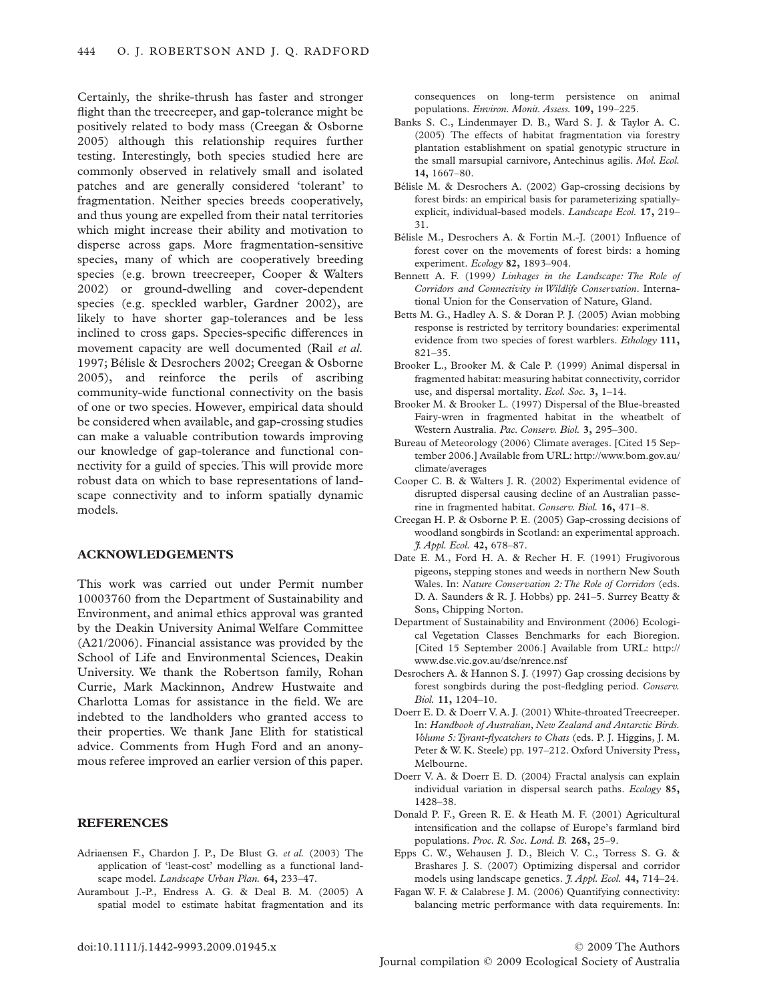Certainly, the shrike-thrush has faster and stronger flight than the treecreeper, and gap-tolerance might be positively related to body mass (Creegan & Osborne 2005) although this relationship requires further testing. Interestingly, both species studied here are commonly observed in relatively small and isolated patches and are generally considered 'tolerant' to fragmentation. Neither species breeds cooperatively, and thus young are expelled from their natal territories which might increase their ability and motivation to disperse across gaps. More fragmentation-sensitive species, many of which are cooperatively breeding species (e.g. brown treecreeper, Cooper & Walters 2002) or ground-dwelling and cover-dependent species (e.g. speckled warbler, Gardner 2002), are likely to have shorter gap-tolerances and be less inclined to cross gaps. Species-specific differences in movement capacity are well documented (Rail *et al.* 1997; Bélisle & Desrochers 2002; Creegan & Osborne 2005), and reinforce the perils of ascribing community-wide functional connectivity on the basis of one or two species. However, empirical data should be considered when available, and gap-crossing studies can make a valuable contribution towards improving our knowledge of gap-tolerance and functional connectivity for a guild of species. This will provide more robust data on which to base representations of landscape connectivity and to inform spatially dynamic models.

# **ACKNOWLEDGEMENTS**

This work was carried out under Permit number 10003760 from the Department of Sustainability and Environment, and animal ethics approval was granted by the Deakin University Animal Welfare Committee (A21/2006). Financial assistance was provided by the School of Life and Environmental Sciences, Deakin University. We thank the Robertson family, Rohan Currie, Mark Mackinnon, Andrew Hustwaite and Charlotta Lomas for assistance in the field. We are indebted to the landholders who granted access to their properties. We thank Jane Elith for statistical advice. Comments from Hugh Ford and an anonymous referee improved an earlier version of this paper.

## **REFERENCES**

- Adriaensen F., Chardon J. P., De Blust G. *et al.* (2003) The application of 'least-cost' modelling as a functional landscape model. *Landscape Urban Plan.* **64,** 233–47.
- Aurambout J.-P., Endress A. G. & Deal B. M. (2005) A spatial model to estimate habitat fragmentation and its

consequences on long-term persistence on animal populations. *Environ. Monit. Assess.* **109,** 199–225.

- Banks S. C., Lindenmayer D. B., Ward S. J. & Taylor A. C. (2005) The effects of habitat fragmentation via forestry plantation establishment on spatial genotypic structure in the small marsupial carnivore, Antechinus agilis. *Mol. Ecol.* **14,** 1667–80.
- Bélisle M. & Desrochers A. (2002) Gap-crossing decisions by forest birds: an empirical basis for parameterizing spatiallyexplicit, individual-based models. *Landscape Ecol.* **17,** 219– 31.
- Bélisle M., Desrochers A. & Fortin M.-J. (2001) Influence of forest cover on the movements of forest birds: a homing experiment. *Ecology* **82,** 1893–904.
- Bennett A. F. (1999*) Linkages in the Landscape: The Role of Corridors and Connectivity in Wildlife Conservation*. International Union for the Conservation of Nature, Gland.
- Betts M. G., Hadley A. S. & Doran P. J. (2005) Avian mobbing response is restricted by territory boundaries: experimental evidence from two species of forest warblers. *Ethology* **111,** 821–35.
- Brooker L., Brooker M. & Cale P. (1999) Animal dispersal in fragmented habitat: measuring habitat connectivity, corridor use, and dispersal mortality. *Ecol. Soc.* **3,** 1–14.
- Brooker M. & Brooker L. (1997) Dispersal of the Blue-breasted Fairy-wren in fragmented habitat in the wheatbelt of Western Australia. *Pac. Conserv. Biol.* **3,** 295–300.
- Bureau of Meteorology (2006) Climate averages. [Cited 15 September 2006.] Available from URL: [http://www.bom.gov.au/](http://www.bom.gov.au) climate/averages
- Cooper C. B. & Walters J. R. (2002) Experimental evidence of disrupted dispersal causing decline of an Australian passerine in fragmented habitat. *Conserv. Biol.* **16,** 471–8.
- Creegan H. P. & Osborne P. E. (2005) Gap-crossing decisions of woodland songbirds in Scotland: an experimental approach. *J. Appl. Ecol.* **42,** 678–87.
- Date E. M., Ford H. A. & Recher H. F. (1991) Frugivorous pigeons, stepping stones and weeds in northern New South Wales. In: *Nature Conservation 2:The Role of Corridors* (eds. D. A. Saunders & R. J. Hobbs) pp. 241–5. Surrey Beatty & Sons, Chipping Norton.
- Department of Sustainability and Environment (2006) Ecological Vegetation Classes Benchmarks for each Bioregion. [Cited 15 September 2006.] Available from URL: [http://](http://www.dse.vic.gov.au/dse/nrence.nsf) [www.dse.vic.gov.au/dse/nrence.nsf](http://www.dse.vic.gov.au/dse/nrence.nsf)
- Desrochers A. & Hannon S. J. (1997) Gap crossing decisions by forest songbirds during the post-fledgling period. *Conserv. Biol.* **11,** 1204–10.
- Doerr E. D. & Doerr V. A. J. (2001) White-throated Treecreeper. In: *Handbook of Australian, New Zealand and Antarctic Birds. Volume 5:Tyrant-flycatchers to Chats* (eds. P. J. Higgins, J. M. Peter & W. K. Steele) pp. 197–212. Oxford University Press, Melbourne.
- Doerr V. A. & Doerr E. D. (2004) Fractal analysis can explain individual variation in dispersal search paths. *Ecology* **85,** 1428–38.
- Donald P. F., Green R. E. & Heath M. F. (2001) Agricultural intensification and the collapse of Europe's farmland bird populations. *Proc. R. Soc. Lond. B.* **268,** 25–9.
- Epps C. W., Wehausen J. D., Bleich V. C., Torress S. G. & Brashares J. S. (2007) Optimizing dispersal and corridor models using landscape genetics. *J. Appl. Ecol.* **44,** 714–24.
- Fagan W. F. & Calabrese J. M. (2006) Quantifying connectivity: balancing metric performance with data requirements. In: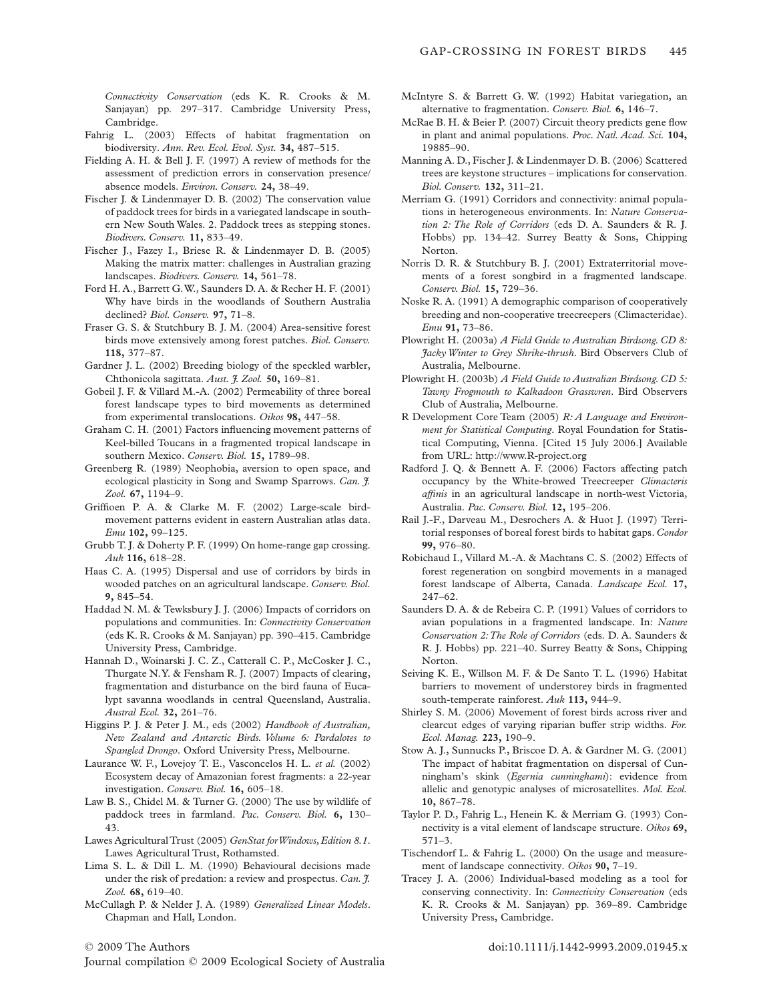*Connectivity Conservation* (eds K. R. Crooks & M. Sanjayan) pp. 297–317. Cambridge University Press, Cambridge.

- Fahrig L. (2003) Effects of habitat fragmentation on biodiversity. *Ann. Rev. Ecol. Evol. Syst.* **34,** 487–515.
- Fielding A. H. & Bell J. F. (1997) A review of methods for the assessment of prediction errors in conservation presence/ absence models. *Environ. Conserv.* **24,** 38–49.
- Fischer J. & Lindenmayer D. B. (2002) The conservation value of paddock trees for birds in a variegated landscape in southern New South Wales. 2. Paddock trees as stepping stones. *Biodivers. Conserv.* **11,** 833–49.
- Fischer J., Fazey I., Briese R. & Lindenmayer D. B. (2005) Making the matrix matter: challenges in Australian grazing landscapes. *Biodivers. Conserv.* **14,** 561–78.
- Ford H. A., Barrett G.W., Saunders D. A. & Recher H. F. (2001) Why have birds in the woodlands of Southern Australia declined? *Biol. Conserv.* **97,** 71–8.
- Fraser G. S. & Stutchbury B. J. M. (2004) Area-sensitive forest birds move extensively among forest patches. *Biol. Conserv.* **118,** 377–87.
- Gardner J. L. (2002) Breeding biology of the speckled warbler, Chthonicola sagittata. *Aust. J. Zool.* **50,** 169–81.
- Gobeil J. F. & Villard M.-A. (2002) Permeability of three boreal forest landscape types to bird movements as determined from experimental translocations. *Oikos* **98,** 447–58.
- Graham C. H. (2001) Factors influencing movement patterns of Keel-billed Toucans in a fragmented tropical landscape in southern Mexico. *Conserv. Biol.* **15,** 1789–98.
- Greenberg R. (1989) Neophobia, aversion to open space, and ecological plasticity in Song and Swamp Sparrows. *Can. J. Zool.* **67,** 1194–9.
- Griffioen P. A. & Clarke M. F. (2002) Large-scale birdmovement patterns evident in eastern Australian atlas data. *Emu* **102,** 99–125.
- Grubb T. J. & Doherty P. F. (1999) On home-range gap crossing. *Auk* **116,** 618–28.
- Haas C. A. (1995) Dispersal and use of corridors by birds in wooded patches on an agricultural landscape. *Conserv. Biol.* **9,** 845–54.
- Haddad N. M. & Tewksbury J. J. (2006) Impacts of corridors on populations and communities. In: *Connectivity Conservation* (eds K. R. Crooks & M. Sanjayan) pp. 390–415. Cambridge University Press, Cambridge.
- Hannah D., Woinarski J. C. Z., Catterall C. P., McCosker J. C., Thurgate N.Y. & Fensham R. J. (2007) Impacts of clearing, fragmentation and disturbance on the bird fauna of Eucalypt savanna woodlands in central Queensland, Australia. *Austral Ecol.* **32,** 261–76.
- Higgins P. J. & Peter J. M., eds (2002) *Handbook of Australian, New Zealand and Antarctic Birds. Volume 6: Pardalotes to Spangled Drongo*. Oxford University Press, Melbourne.
- Laurance W. F., Lovejoy T. E., Vasconcelos H. L. *et al.* (2002) Ecosystem decay of Amazonian forest fragments: a 22-year investigation. *Conserv. Biol.* **16,** 605–18.
- Law B. S., Chidel M. & Turner G. (2000) The use by wildlife of paddock trees in farmland. *Pac. Conserv. Biol.* **6,** 130– 43.
- Lawes AgriculturalTrust (2005) *GenStat forWindows, Edition 8.1*. Lawes Agricultural Trust, Rothamsted.
- Lima S. L. & Dill L. M. (1990) Behavioural decisions made under the risk of predation: a review and prospectus. *Can. J. Zool.* **68,** 619–40.
- McCullagh P. & Nelder J. A. (1989) *Generalized Linear Models*. Chapman and Hall, London.
- 
- Journal compilation © 2009 Ecological Society of Australia
- McIntyre S. & Barrett G. W. (1992) Habitat variegation, an alternative to fragmentation. *Conserv. Biol.* **6,** 146–7.
- McRae B. H. & Beier P. (2007) Circuit theory predicts gene flow in plant and animal populations. *Proc. Natl. Acad. Sci.* **104,** 19885–90.
- Manning A. D., Fischer J. & Lindenmayer D. B. (2006) Scattered trees are keystone structures – implications for conservation. *Biol. Conserv.* **132,** 311–21.
- Merriam G. (1991) Corridors and connectivity: animal populations in heterogeneous environments. In: *Nature Conservation 2: The Role of Corridors* (eds D. A. Saunders & R. J. Hobbs) pp. 134–42. Surrey Beatty & Sons, Chipping Norton.
- Norris D. R. & Stutchbury B. J. (2001) Extraterritorial movements of a forest songbird in a fragmented landscape. *Conserv. Biol.* **15,** 729–36.
- Noske R. A. (1991) A demographic comparison of cooperatively breeding and non-cooperative treecreepers (Climacteridae). *Emu* **91,** 73–86.
- Plowright H. (2003a) *A Field Guide to Australian Birdsong. CD 8: Jacky Winter to Grey Shrike-thrush*. Bird Observers Club of Australia, Melbourne.
- Plowright H. (2003b) *A Field Guide to Australian Birdsong. CD 5: Tawny Frogmouth to Kalkadoon Grasswren*. Bird Observers Club of Australia, Melbourne.
- R Development Core Team (2005) *R: A Language and Environment for Statistical Computing*. Royal Foundation for Statistical Computing, Vienna. [Cited 15 July 2006.] Available from URL:<http://www.R-project.org>
- Radford J. Q. & Bennett A. F. (2006) Factors affecting patch occupancy by the White-browed Treecreeper *Climacteris affinis* in an agricultural landscape in north-west Victoria, Australia. *Pac. Conserv. Biol.* **12,** 195–206.
- Rail J.-F., Darveau M., Desrochers A. & Huot J. (1997) Territorial responses of boreal forest birds to habitat gaps. *Condor* **99,** 976–80.
- Robichaud I., Villard M.-A. & Machtans C. S. (2002) Effects of forest regeneration on songbird movements in a managed forest landscape of Alberta, Canada. *Landscape Ecol.* **17,** 247–62.
- Saunders D. A. & de Rebeira C. P. (1991) Values of corridors to avian populations in a fragmented landscape. In: *Nature Conservation 2:The Role of Corridors* (eds. D. A. Saunders & R. J. Hobbs) pp. 221–40. Surrey Beatty & Sons, Chipping Norton.
- Seiving K. E., Willson M. F. & De Santo T. L. (1996) Habitat barriers to movement of understorey birds in fragmented south-temperate rainforest. *Auk* **113,** 944–9.
- Shirley S. M. (2006) Movement of forest birds across river and clearcut edges of varying riparian buffer strip widths. *For. Ecol. Manag.* **223,** 190–9.
- Stow A. J., Sunnucks P., Briscoe D. A. & Gardner M. G. (2001) The impact of habitat fragmentation on dispersal of Cunningham's skink (*Egernia cunninghami*): evidence from allelic and genotypic analyses of microsatellites. *Mol. Ecol.* **10,** 867–78.
- Taylor P. D., Fahrig L., Henein K. & Merriam G. (1993) Connectivity is a vital element of landscape structure. *Oikos* **69,** 571–3.
- Tischendorf L. & Fahrig L. (2000) On the usage and measurement of landscape connectivity. *Oikos* **90,** 7–19.
- Tracey J. A. (2006) Individual-based modeling as a tool for conserving connectivity. In: *Connectivity Conservation* (eds K. R. Crooks & M. Sanjayan) pp. 369–89. Cambridge University Press, Cambridge.